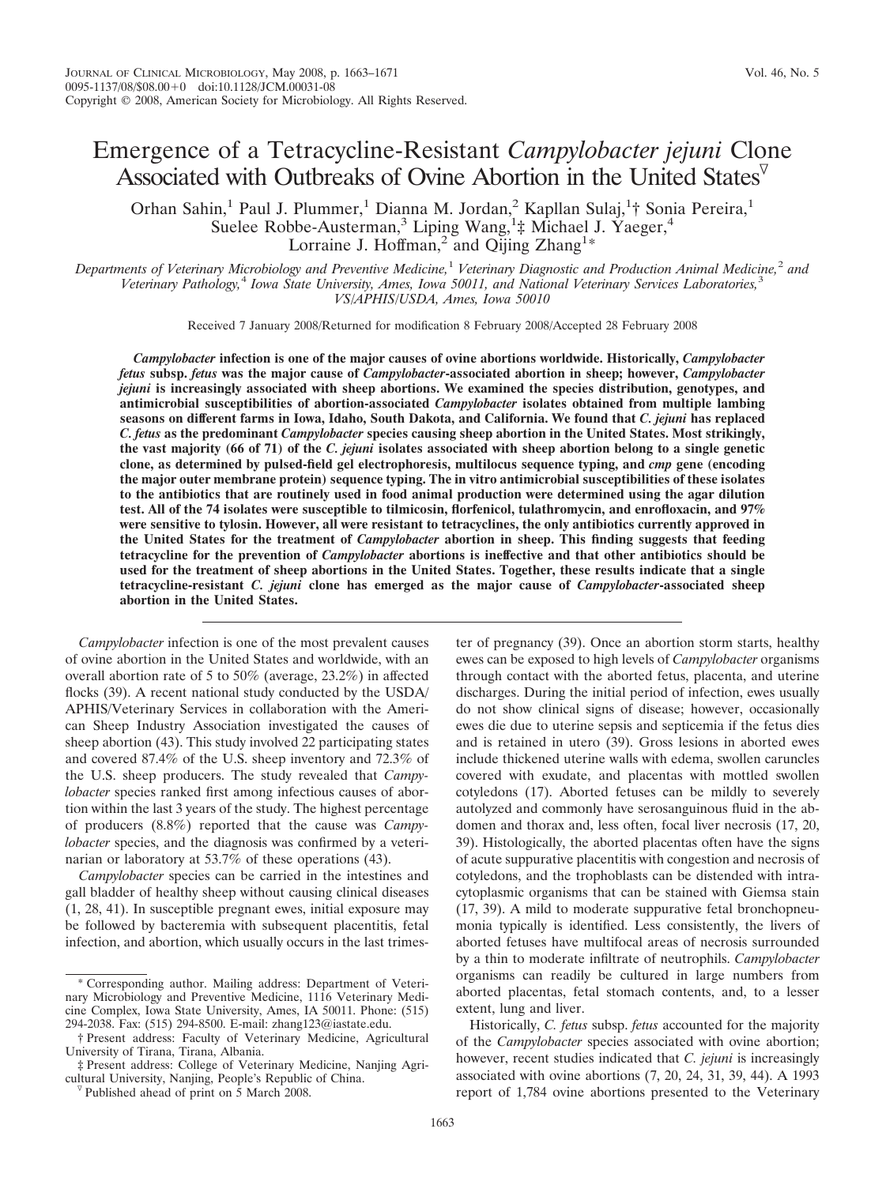# Emergence of a Tetracycline-Resistant *Campylobacter jejuni* Clone Associated with Outbreaks of Ovine Abortion in the United States $\overline{v}$

Orhan Sahin,<sup>1</sup> Paul J. Plummer,<sup>1</sup> Dianna M. Jordan,<sup>2</sup> Kapllan Sulaj,<sup>1</sup>† Sonia Pereira,<sup>1</sup> Suelee Robbe-Austerman,<sup>3</sup> Liping Wang,<sup>1</sup>‡ Michael J. Yaeger,<sup>4</sup> Lorraine J. Hoffman,<sup>2</sup> and Qijing Zhang<sup>1\*</sup>

*Departments of Veterinary Microbiology and Preventive Medicine,*<sup>1</sup> *Veterinary Diagnostic and Production Animal Medicine,*<sup>2</sup> *and Veterinary Pathology,*<sup>4</sup> *Iowa State University, Ames, Iowa 50011, and National Veterinary Services Laboratories,*<sup>3</sup> *VS/APHIS/USDA, Ames, Iowa 50010*

Received 7 January 2008/Returned for modification 8 February 2008/Accepted 28 February 2008

*Campylobacter* **infection is one of the major causes of ovine abortions worldwide. Historically,** *Campylobacter fetus* **subsp.** *fetus* **was the major cause of** *Campylobacter***-associated abortion in sheep; however,** *Campylobacter jejuni* **is increasingly associated with sheep abortions. We examined the species distribution, genotypes, and antimicrobial susceptibilities of abortion-associated** *Campylobacter* **isolates obtained from multiple lambing seasons on different farms in Iowa, Idaho, South Dakota, and California. We found that** *C. jejuni* **has replaced** *C. fetus* **as the predominant** *Campylobacter* **species causing sheep abortion in the United States. Most strikingly, the vast majority (66 of 71) of the** *C. jejuni* **isolates associated with sheep abortion belong to a single genetic clone, as determined by pulsed-field gel electrophoresis, multilocus sequence typing, and** *cmp* **gene (encoding the major outer membrane protein) sequence typing. The in vitro antimicrobial susceptibilities of these isolates to the antibiotics that are routinely used in food animal production were determined using the agar dilution test. All of the 74 isolates were susceptible to tilmicosin, florfenicol, tulathromycin, and enrofloxacin, and 97% were sensitive to tylosin. However, all were resistant to tetracyclines, the only antibiotics currently approved in the United States for the treatment of** *Campylobacter* **abortion in sheep. This finding suggests that feeding tetracycline for the prevention of** *Campylobacter* **abortions is ineffective and that other antibiotics should be used for the treatment of sheep abortions in the United States. Together, these results indicate that a single tetracycline-resistant** *C. jejuni* **clone has emerged as the major cause of** *Campylobacter***-associated sheep abortion in the United States.**

*Campylobacter* infection is one of the most prevalent causes of ovine abortion in the United States and worldwide, with an overall abortion rate of 5 to 50% (average, 23.2%) in affected flocks (39). A recent national study conducted by the USDA/ APHIS/Veterinary Services in collaboration with the American Sheep Industry Association investigated the causes of sheep abortion (43). This study involved 22 participating states and covered 87.4% of the U.S. sheep inventory and 72.3% of the U.S. sheep producers. The study revealed that *Campylobacter* species ranked first among infectious causes of abortion within the last 3 years of the study. The highest percentage of producers (8.8%) reported that the cause was *Campylobacter* species, and the diagnosis was confirmed by a veterinarian or laboratory at 53.7% of these operations (43).

*Campylobacter* species can be carried in the intestines and gall bladder of healthy sheep without causing clinical diseases (1, 28, 41). In susceptible pregnant ewes, initial exposure may be followed by bacteremia with subsequent placentitis, fetal infection, and abortion, which usually occurs in the last trimes-

ter of pregnancy (39). Once an abortion storm starts, healthy ewes can be exposed to high levels of *Campylobacter* organisms through contact with the aborted fetus, placenta, and uterine discharges. During the initial period of infection, ewes usually do not show clinical signs of disease; however, occasionally ewes die due to uterine sepsis and septicemia if the fetus dies and is retained in utero (39). Gross lesions in aborted ewes include thickened uterine walls with edema, swollen caruncles covered with exudate, and placentas with mottled swollen cotyledons (17). Aborted fetuses can be mildly to severely autolyzed and commonly have serosanguinous fluid in the abdomen and thorax and, less often, focal liver necrosis (17, 20, 39). Histologically, the aborted placentas often have the signs of acute suppurative placentitis with congestion and necrosis of cotyledons, and the trophoblasts can be distended with intracytoplasmic organisms that can be stained with Giemsa stain (17, 39). A mild to moderate suppurative fetal bronchopneumonia typically is identified. Less consistently, the livers of aborted fetuses have multifocal areas of necrosis surrounded by a thin to moderate infiltrate of neutrophils. *Campylobacter* organisms can readily be cultured in large numbers from aborted placentas, fetal stomach contents, and, to a lesser extent, lung and liver.

Historically, *C. fetus* subsp. *fetus* accounted for the majority of the *Campylobacter* species associated with ovine abortion; however, recent studies indicated that *C. jejuni* is increasingly associated with ovine abortions (7, 20, 24, 31, 39, 44). A 1993 report of 1,784 ovine abortions presented to the Veterinary

<sup>\*</sup> Corresponding author. Mailing address: Department of Veterinary Microbiology and Preventive Medicine, 1116 Veterinary Medicine Complex, Iowa State University, Ames, IA 50011. Phone: (515) 294-2038. Fax: (515) 294-8500. E-mail: zhang123@iastate.edu.

<sup>†</sup> Present address: Faculty of Veterinary Medicine, Agricultural University of Tirana, Tirana, Albania.

<sup>‡</sup> Present address: College of Veterinary Medicine, Nanjing Agricultural University, Nanjing, People's Republic of China. <sup>V</sup> Published ahead of print on 5 March 2008.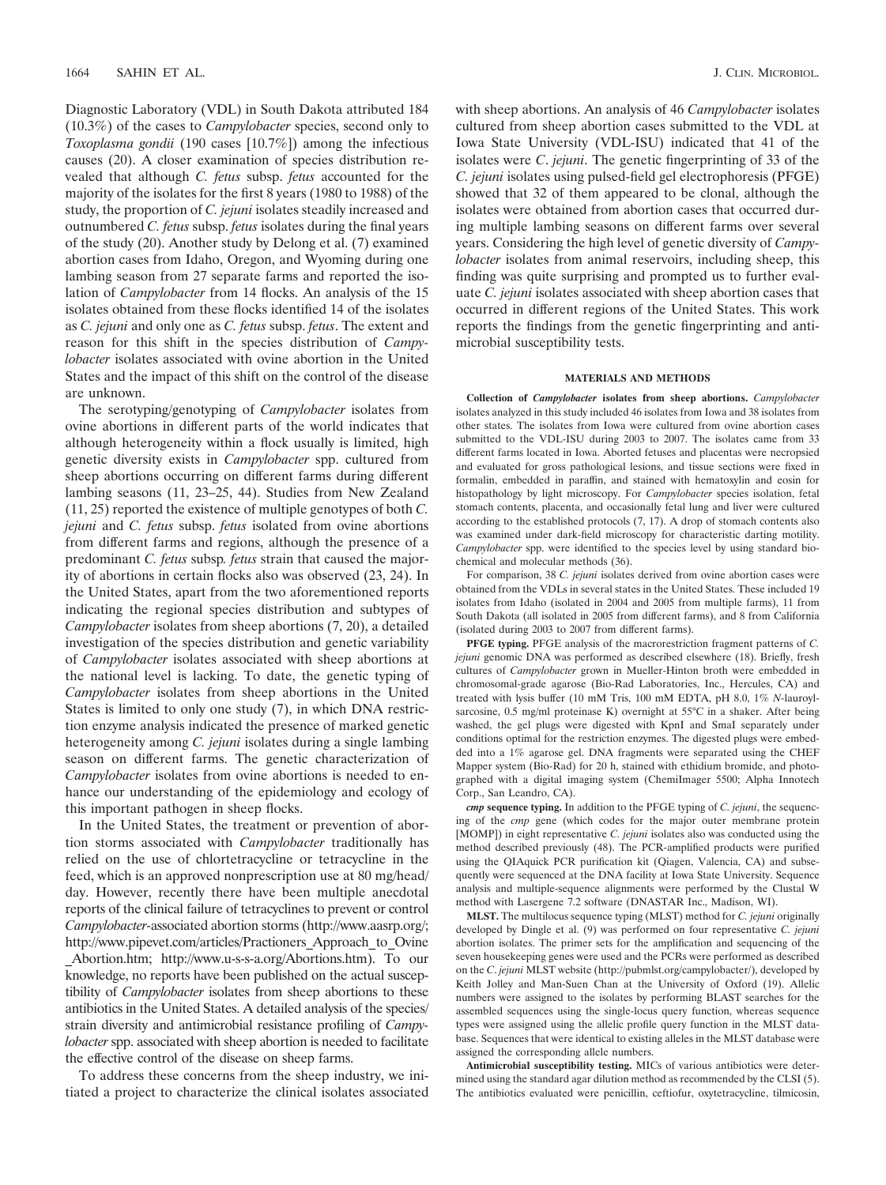Diagnostic Laboratory (VDL) in South Dakota attributed 184 (10.3%) of the cases to *Campylobacter* species, second only to *Toxoplasma gondii* (190 cases [10.7%]) among the infectious causes (20). A closer examination of species distribution revealed that although *C. fetus* subsp. *fetus* accounted for the majority of the isolates for the first 8 years (1980 to 1988) of the study, the proportion of *C. jejuni* isolates steadily increased and outnumbered *C. fetus* subsp. *fetus* isolates during the final years of the study (20). Another study by Delong et al. (7) examined abortion cases from Idaho, Oregon, and Wyoming during one lambing season from 27 separate farms and reported the isolation of *Campylobacter* from 14 flocks. An analysis of the 15 isolates obtained from these flocks identified 14 of the isolates as *C. jejuni* and only one as *C. fetus* subsp. *fetus*. The extent and reason for this shift in the species distribution of *Campylobacter* isolates associated with ovine abortion in the United States and the impact of this shift on the control of the disease are unknown.

The serotyping/genotyping of *Campylobacter* isolates from ovine abortions in different parts of the world indicates that although heterogeneity within a flock usually is limited, high genetic diversity exists in *Campylobacter* spp. cultured from sheep abortions occurring on different farms during different lambing seasons (11, 23–25, 44). Studies from New Zealand (11, 25) reported the existence of multiple genotypes of both *C. jejuni* and *C. fetus* subsp. *fetus* isolated from ovine abortions from different farms and regions, although the presence of a predominant *C. fetus* subsp*. fetus* strain that caused the majority of abortions in certain flocks also was observed (23, 24). In the United States, apart from the two aforementioned reports indicating the regional species distribution and subtypes of *Campylobacter* isolates from sheep abortions (7, 20), a detailed investigation of the species distribution and genetic variability of *Campylobacter* isolates associated with sheep abortions at the national level is lacking. To date, the genetic typing of *Campylobacter* isolates from sheep abortions in the United States is limited to only one study (7), in which DNA restriction enzyme analysis indicated the presence of marked genetic heterogeneity among *C. jejuni* isolates during a single lambing season on different farms. The genetic characterization of *Campylobacter* isolates from ovine abortions is needed to enhance our understanding of the epidemiology and ecology of this important pathogen in sheep flocks.

In the United States, the treatment or prevention of abortion storms associated with *Campylobacter* traditionally has relied on the use of chlortetracycline or tetracycline in the feed, which is an approved nonprescription use at 80 mg/head/ day. However, recently there have been multiple anecdotal reports of the clinical failure of tetracyclines to prevent or control *Campylobacter*-associated abortion storms (http://www.aasrp.org/; http://www.pipevet.com/articles/Practioners\_Approach\_to\_Ovine

\_Abortion.htm; http://www.u-s-s-a.org/Abortions.htm). To our knowledge, no reports have been published on the actual susceptibility of *Campylobacter* isolates from sheep abortions to these antibiotics in the United States. A detailed analysis of the species/ strain diversity and antimicrobial resistance profiling of *Campylobacter* spp. associated with sheep abortion is needed to facilitate the effective control of the disease on sheep farms.

To address these concerns from the sheep industry, we initiated a project to characterize the clinical isolates associated with sheep abortions. An analysis of 46 *Campylobacter* isolates cultured from sheep abortion cases submitted to the VDL at Iowa State University (VDL-ISU) indicated that 41 of the isolates were *C*. *jejuni*. The genetic fingerprinting of 33 of the *C. jejuni* isolates using pulsed-field gel electrophoresis (PFGE) showed that 32 of them appeared to be clonal, although the isolates were obtained from abortion cases that occurred during multiple lambing seasons on different farms over several years. Considering the high level of genetic diversity of *Campylobacter* isolates from animal reservoirs, including sheep, this finding was quite surprising and prompted us to further evaluate *C. jejuni* isolates associated with sheep abortion cases that occurred in different regions of the United States. This work reports the findings from the genetic fingerprinting and antimicrobial susceptibility tests.

#### **MATERIALS AND METHODS**

**Collection of** *Campylobacter* **isolates from sheep abortions.** *Campylobacter* isolates analyzed in this study included 46 isolates from Iowa and 38 isolates from other states. The isolates from Iowa were cultured from ovine abortion cases submitted to the VDL-ISU during 2003 to 2007. The isolates came from 33 different farms located in Iowa. Aborted fetuses and placentas were necropsied and evaluated for gross pathological lesions, and tissue sections were fixed in formalin, embedded in paraffin, and stained with hematoxylin and eosin for histopathology by light microscopy. For *Campylobacter* species isolation, fetal stomach contents, placenta, and occasionally fetal lung and liver were cultured according to the established protocols (7, 17). A drop of stomach contents also was examined under dark-field microscopy for characteristic darting motility. *Campylobacter* spp. were identified to the species level by using standard biochemical and molecular methods (36).

For comparison, 38 *C. jejuni* isolates derived from ovine abortion cases were obtained from the VDLs in several states in the United States. These included 19 isolates from Idaho (isolated in 2004 and 2005 from multiple farms), 11 from South Dakota (all isolated in 2005 from different farms), and 8 from California (isolated during 2003 to 2007 from different farms).

**PFGE typing.** PFGE analysis of the macrorestriction fragment patterns of *C. jejuni* genomic DNA was performed as described elsewhere (18). Briefly, fresh cultures of *Campylobacter* grown in Mueller-Hinton broth were embedded in chromosomal-grade agarose (Bio-Rad Laboratories, Inc., Hercules, CA) and treated with lysis buffer (10 mM Tris, 100 mM EDTA, pH 8.0, 1% *N*-lauroylsarcosine, 0.5 mg/ml proteinase K) overnight at 55°C in a shaker. After being washed, the gel plugs were digested with KpnI and SmaI separately under conditions optimal for the restriction enzymes. The digested plugs were embedded into a 1% agarose gel. DNA fragments were separated using the CHEF Mapper system (Bio-Rad) for 20 h, stained with ethidium bromide, and photographed with a digital imaging system (ChemiImager 5500; Alpha Innotech Corp., San Leandro, CA).

*cmp* **sequence typing.** In addition to the PFGE typing of *C. jejuni*, the sequencing of the *cmp* gene (which codes for the major outer membrane protein [MOMP]) in eight representative *C. jejuni* isolates also was conducted using the method described previously (48). The PCR-amplified products were purified using the QIAquick PCR purification kit (Qiagen, Valencia, CA) and subsequently were sequenced at the DNA facility at Iowa State University. Sequence analysis and multiple-sequence alignments were performed by the Clustal W method with Lasergene 7.2 software (DNASTAR Inc., Madison, WI).

**MLST.** The multilocus sequence typing (MLST) method for *C. jejuni* originally developed by Dingle et al. (9) was performed on four representative *C. jejuni* abortion isolates. The primer sets for the amplification and sequencing of the seven housekeeping genes were used and the PCRs were performed as described on the *C*. *jejuni* MLST website (http://pubmlst.org/campylobacter/), developed by Keith Jolley and Man-Suen Chan at the University of Oxford (19). Allelic numbers were assigned to the isolates by performing BLAST searches for the assembled sequences using the single-locus query function, whereas sequence types were assigned using the allelic profile query function in the MLST database. Sequences that were identical to existing alleles in the MLST database were assigned the corresponding allele numbers.

**Antimicrobial susceptibility testing.** MICs of various antibiotics were determined using the standard agar dilution method as recommended by the CLSI (5). The antibiotics evaluated were penicillin, ceftiofur, oxytetracycline, tilmicosin,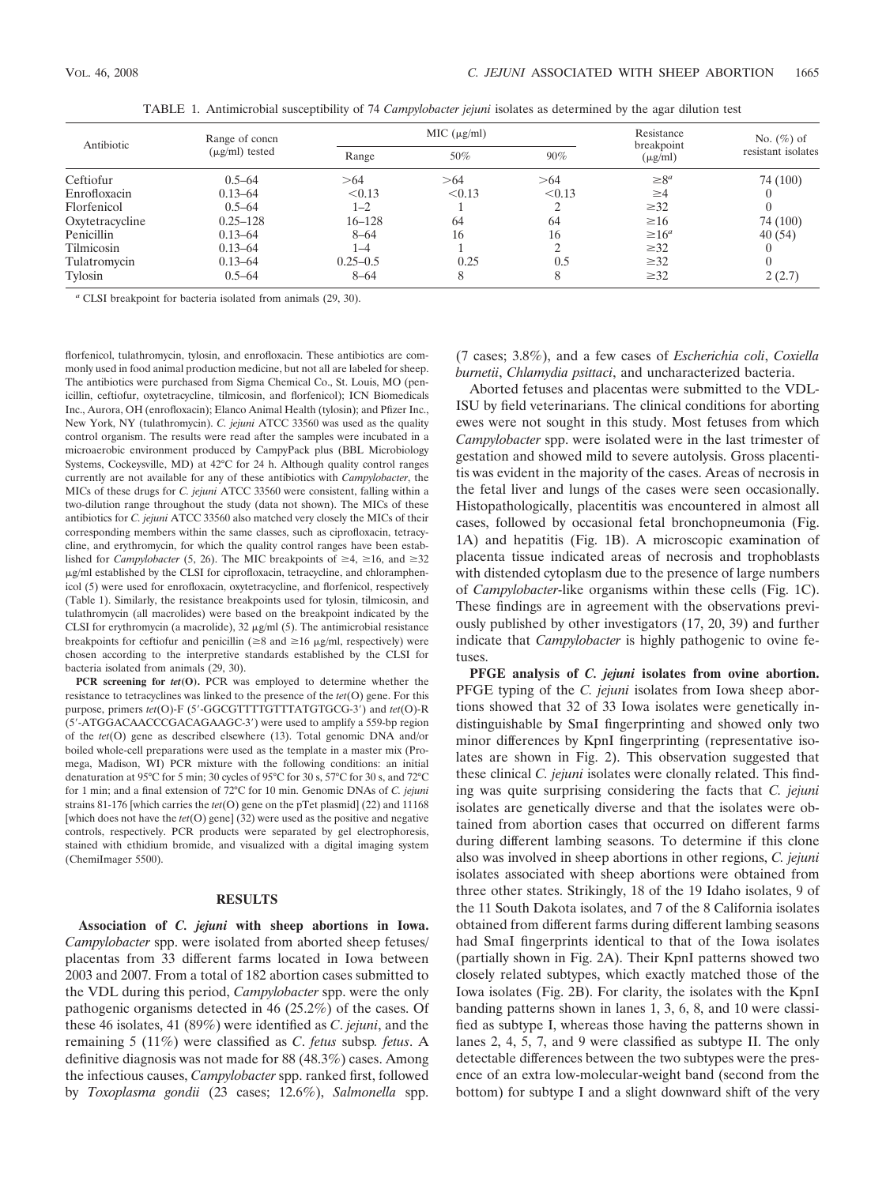| Antibiotic      | Range of concn<br>$(\mu$ g/ml) tested |              | MIC (µg/ml) | Resistance | No. $(\%)$ of              |                    |
|-----------------|---------------------------------------|--------------|-------------|------------|----------------------------|--------------------|
|                 |                                       | Range        | 50%         | 90%        | breakpoint<br>$(\mu g/ml)$ | resistant isolates |
| Ceftiofur       | $0.5 - 64$                            | >64          | >64         | >64        | $\geq 8^a$                 | 74 (100)           |
| Enrofloxacin    | $0.13 - 64$                           | < 0.13       | < 0.13      | < 0.13     | $\geq 4$                   |                    |
| Florfenicol     | $0.5 - 64$                            | $1 - 2$      |             |            | $\geq 32$                  | 0                  |
| Oxytetracycline | $0.25 - 128$                          | $16 - 128$   | 64          | 64         | $\geq 16$                  | 74 (100)           |
| Penicillin      | $0.13 - 64$                           | $8 - 64$     | 16          | 16         | $\geq 16^a$                | 40(54)             |
| Tilmicosin      | $0.13 - 64$                           | 1–4          |             |            | $\geq 32$                  | $\left($           |
| Tulatromycin    | $0.13 - 64$                           | $0.25 - 0.5$ | 0.25        | 0.5        | $\geq 32$                  | $\Omega$           |
| Tylosin         | $0.5 - 64$                            | $8 - 64$     |             |            | $\geq 32$                  | 2(2.7)             |

TABLE 1. Antimicrobial susceptibility of 74 *Campylobacter jejuni* isolates as determined by the agar dilution test

*<sup>a</sup>* CLSI breakpoint for bacteria isolated from animals (29, 30).

florfenicol, tulathromycin, tylosin, and enrofloxacin. These antibiotics are commonly used in food animal production medicine, but not all are labeled for sheep. The antibiotics were purchased from Sigma Chemical Co., St. Louis, MO (penicillin, ceftiofur, oxytetracycline, tilmicosin, and florfenicol); ICN Biomedicals Inc., Aurora, OH (enrofloxacin); Elanco Animal Health (tylosin); and Pfizer Inc., New York, NY (tulathromycin). *C. jejuni* ATCC 33560 was used as the quality control organism. The results were read after the samples were incubated in a microaerobic environment produced by CampyPack plus (BBL Microbiology Systems, Cockeysville, MD) at 42°C for 24 h. Although quality control ranges currently are not available for any of these antibiotics with *Campylobacter*, the MICs of these drugs for *C. jejuni* ATCC 33560 were consistent, falling within a two-dilution range throughout the study (data not shown). The MICs of these antibiotics for *C. jejuni* ATCC 33560 also matched very closely the MICs of their corresponding members within the same classes, such as ciprofloxacin, tetracycline, and erythromycin, for which the quality control ranges have been established for *Campylobacter* (5, 26). The MIC breakpoints of  $\geq 4$ ,  $\geq 16$ , and  $\geq 32$  $\mu$ g/ml established by the CLSI for ciprofloxacin, tetracycline, and chloramphenicol (5) were used for enrofloxacin, oxytetracycline, and florfenicol, respectively (Table 1). Similarly, the resistance breakpoints used for tylosin, tilmicosin, and tulathromycin (all macrolides) were based on the breakpoint indicated by the CLSI for erythromycin (a macrolide),  $32 \mu g/ml$  (5). The antimicrobial resistance breakpoints for ceftiofur and penicillin ( $\geq 8$  and  $\geq 16$   $\mu$ g/ml, respectively) were chosen according to the interpretive standards established by the CLSI for bacteria isolated from animals (29, 30).

**PCR screening for** *tet***(O).** PCR was employed to determine whether the resistance to tetracyclines was linked to the presence of the *tet*(O) gene. For this purpose, primers *tet*(O)-F (5-GGCGTTTTGTTTATGTGCG-3) and *tet*(O)-R (5-ATGGACAACCCGACAGAAGC-3) were used to amplify a 559-bp region of the *tet*(O) gene as described elsewhere (13). Total genomic DNA and/or boiled whole-cell preparations were used as the template in a master mix (Promega, Madison, WI) PCR mixture with the following conditions: an initial denaturation at 95°C for 5 min; 30 cycles of 95°C for 30 s, 57°C for 30 s, and 72°C for 1 min; and a final extension of 72°C for 10 min. Genomic DNAs of *C. jejuni* strains 81-176 [which carries the *tet*(O) gene on the pTet plasmid] (22) and 11168 [which does not have the *tet*(O) gene] (32) were used as the positive and negative controls, respectively. PCR products were separated by gel electrophoresis, stained with ethidium bromide, and visualized with a digital imaging system (ChemiImager 5500).

## **RESULTS**

**Association of** *C. jejuni* **with sheep abortions in Iowa.** *Campylobacter* spp. were isolated from aborted sheep fetuses/ placentas from 33 different farms located in Iowa between 2003 and 2007. From a total of 182 abortion cases submitted to the VDL during this period, *Campylobacter* spp. were the only pathogenic organisms detected in 46 (25.2%) of the cases. Of these 46 isolates, 41 (89%) were identified as *C*. *jejuni*, and the remaining 5 (11%) were classified as *C*. *fetus* subsp*. fetus*. A definitive diagnosis was not made for 88 (48.3%) cases. Among the infectious causes, *Campylobacter* spp. ranked first, followed by *Toxoplasma gondii* (23 cases; 12.6%), *Salmonella* spp.

(7 cases; 3.8%), and a few cases of *Escherichia coli*, *Coxiella burnetii*, *Chlamydia psittaci*, and uncharacterized bacteria.

Aborted fetuses and placentas were submitted to the VDL-ISU by field veterinarians. The clinical conditions for aborting ewes were not sought in this study. Most fetuses from which *Campylobacter* spp. were isolated were in the last trimester of gestation and showed mild to severe autolysis. Gross placentitis was evident in the majority of the cases. Areas of necrosis in the fetal liver and lungs of the cases were seen occasionally. Histopathologically, placentitis was encountered in almost all cases, followed by occasional fetal bronchopneumonia (Fig. 1A) and hepatitis (Fig. 1B). A microscopic examination of placenta tissue indicated areas of necrosis and trophoblasts with distended cytoplasm due to the presence of large numbers of *Campylobacter*-like organisms within these cells (Fig. 1C). These findings are in agreement with the observations previously published by other investigators (17, 20, 39) and further indicate that *Campylobacter* is highly pathogenic to ovine fetuses.

**PFGE analysis of** *C. jejuni* **isolates from ovine abortion.** PFGE typing of the *C. jejuni* isolates from Iowa sheep abortions showed that 32 of 33 Iowa isolates were genetically indistinguishable by SmaI fingerprinting and showed only two minor differences by KpnI fingerprinting (representative isolates are shown in Fig. 2). This observation suggested that these clinical *C. jejuni* isolates were clonally related. This finding was quite surprising considering the facts that *C. jejuni* isolates are genetically diverse and that the isolates were obtained from abortion cases that occurred on different farms during different lambing seasons. To determine if this clone also was involved in sheep abortions in other regions, *C. jejuni* isolates associated with sheep abortions were obtained from three other states. Strikingly, 18 of the 19 Idaho isolates, 9 of the 11 South Dakota isolates, and 7 of the 8 California isolates obtained from different farms during different lambing seasons had SmaI fingerprints identical to that of the Iowa isolates (partially shown in Fig. 2A). Their KpnI patterns showed two closely related subtypes, which exactly matched those of the Iowa isolates (Fig. 2B). For clarity, the isolates with the KpnI banding patterns shown in lanes 1, 3, 6, 8, and 10 were classified as subtype I, whereas those having the patterns shown in lanes 2, 4, 5, 7, and 9 were classified as subtype II. The only detectable differences between the two subtypes were the presence of an extra low-molecular-weight band (second from the bottom) for subtype I and a slight downward shift of the very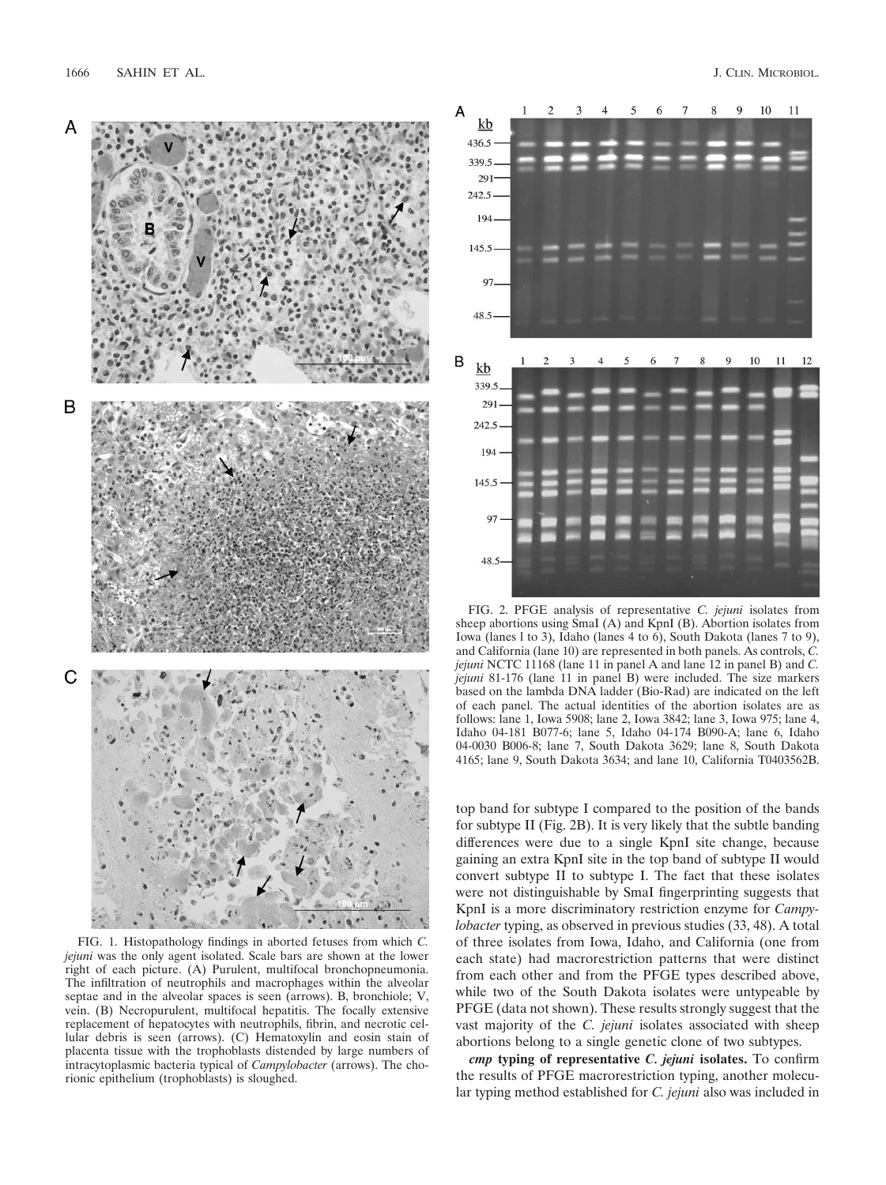

FIG. 1. Histopathology findings in aborted fetuses from which *C. jejuni* was the only agent isolated. Scale bars are shown at the lower right of each picture. (A) Purulent, multifocal bronchopneumonia. The infiltration of neutrophils and macrophages within the alveolar septae and in the alveolar spaces is seen (arrows). B, bronchiole; V, vein. (B) Necropurulent, multifocal hepatitis. The focally extensive replacement of hepatocytes with neutrophils, fibrin, and necrotic cellular debris is seen (arrows). (C) Hematoxylin and eosin stain of placenta tissue with the trophoblasts distended by large numbers of intracytoplasmic bacteria typical of *Campylobacter* (arrows). The chorionic epithelium (trophoblasts) is sloughed.



FIG. 2. PFGE analysis of representative *C. jejuni* isolates from sheep abortions using SmaI (A) and KpnI (B). Abortion isolates from Iowa (lanes l to 3), Idaho (lanes 4 to 6), South Dakota (lanes 7 to 9), and California (lane 10) are represented in both panels. As controls, *C. jejuni* NCTC 11168 (lane 11 in panel A and lane 12 in panel B) and *C. jejuni* 81-176 (lane 11 in panel B) were included. The size markers based on the lambda DNA ladder (Bio-Rad) are indicated on the left of each panel. The actual identities of the abortion isolates are as follows: lane 1, Iowa 5908; lane 2, Iowa 3842; lane 3, Iowa 975; lane 4, Idaho 04-181 B077-6; lane 5, Idaho 04-174 B090-A; lane 6, Idaho 04-0030 B006-8; lane 7, South Dakota 3629; lane 8, South Dakota 4165; lane 9, South Dakota 3634; and lane 10, California T0403562B.

top band for subtype I compared to the position of the bands for subtype II (Fig. 2B). It is very likely that the subtle banding differences were due to a single KpnI site change, because gaining an extra KpnI site in the top band of subtype II would convert subtype II to subtype I. The fact that these isolates were not distinguishable by SmaI fingerprinting suggests that KpnI is a more discriminatory restriction enzyme for *Campylobacter* typing, as observed in previous studies (33, 48). A total of three isolates from Iowa, Idaho, and California (one from each state) had macrorestriction patterns that were distinct from each other and from the PFGE types described above, while two of the South Dakota isolates were untypeable by PFGE (data not shown). These results strongly suggest that the vast majority of the *C. jejuni* isolates associated with sheep abortions belong to a single genetic clone of two subtypes.

*cmp* **typing of representative** *C. jejuni* **isolates.** To confirm the results of PFGE macrorestriction typing, another molecular typing method established for *C. jejuni* also was included in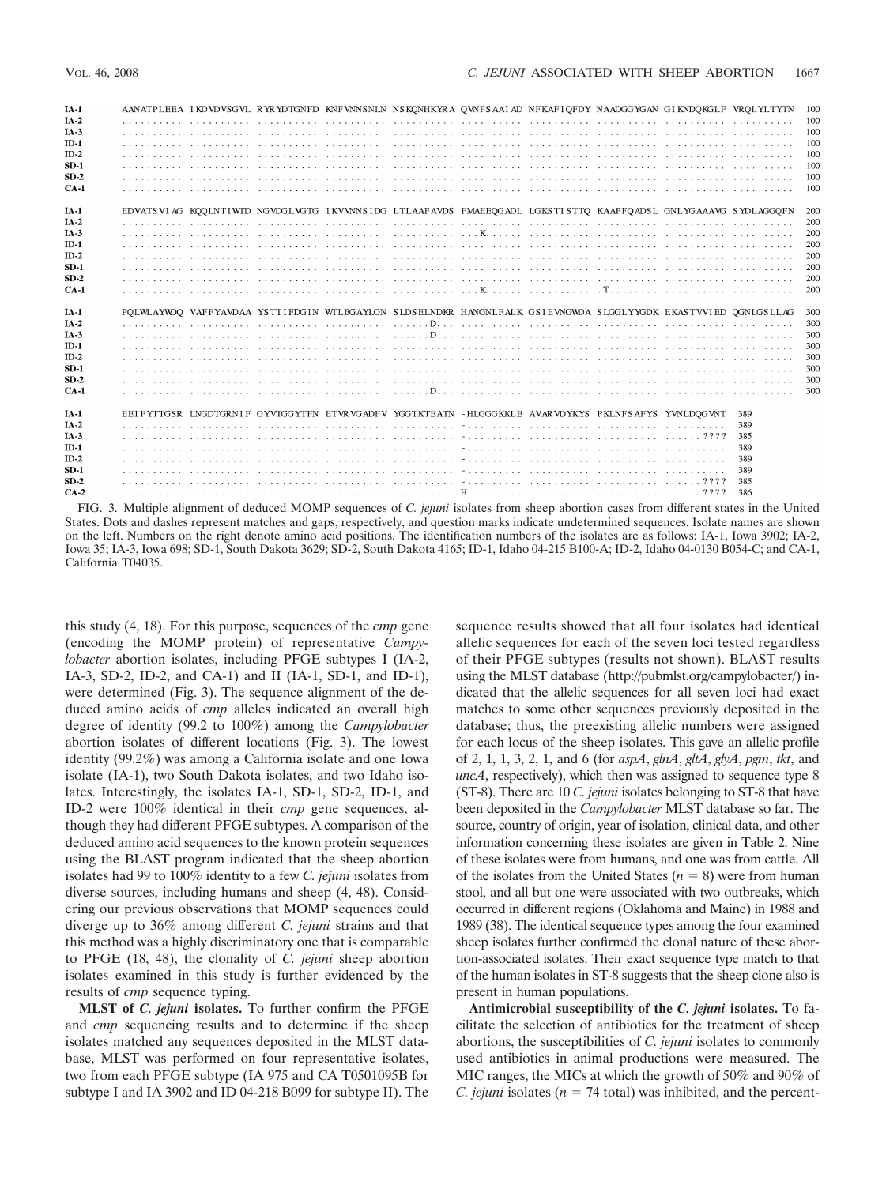| $IA-1$          |  |                                                                                                               |  |  |  | AANATPLEEA IKDVDVSGVL RYRYDTGNFD KNFVNNSNLN NSKONHKYRA OVNFSAAIAD NFKAFIOFDY NAADGGYGAN GIKNDOKGLF VROLYLTYTN | 100   |
|-----------------|--|---------------------------------------------------------------------------------------------------------------|--|--|--|---------------------------------------------------------------------------------------------------------------|-------|
| $IA-2$          |  |                                                                                                               |  |  |  |                                                                                                               | 100   |
| IA <sub>3</sub> |  |                                                                                                               |  |  |  |                                                                                                               | - 100 |
| $ID-1$          |  |                                                                                                               |  |  |  |                                                                                                               | 100   |
| $ID-2$          |  |                                                                                                               |  |  |  |                                                                                                               | 100   |
| $SD-1$          |  |                                                                                                               |  |  |  |                                                                                                               | 100   |
| $SD-2$          |  |                                                                                                               |  |  |  |                                                                                                               | 100   |
| $CA-1$          |  |                                                                                                               |  |  |  |                                                                                                               | 100   |
| $IA-1$          |  | EDVATSVIAG KOOLNTIWID NGVDGLVGTG IKVVNNSIDG LTLAAFAVDS FMAEEOGADL LGKSTISTTO KAAPFOADSL GNLYGAAAVG SYDLAGGOFN |  |  |  |                                                                                                               | 200   |
| $IA-2$          |  |                                                                                                               |  |  |  |                                                                                                               | 200   |
| $IA-3$          |  |                                                                                                               |  |  |  |                                                                                                               | 200   |
| $ID-1$          |  |                                                                                                               |  |  |  |                                                                                                               | 200   |
| $ID-2$          |  |                                                                                                               |  |  |  |                                                                                                               | 200   |
| $SD-1$          |  |                                                                                                               |  |  |  |                                                                                                               | 200   |
| $SD-2$          |  |                                                                                                               |  |  |  |                                                                                                               | 200   |
| $CA-1$          |  |                                                                                                               |  |  |  |                                                                                                               | 200   |
|                 |  |                                                                                                               |  |  |  |                                                                                                               |       |
| <b>IA-1</b>     |  | POLWLAYWDO VAFFYAVDAA YSTTIFDGIN WTLEGAYLGN SLDSELNDKR HANGNLFALK GSIEVNGWDA SLGGLYYGDK EKASTVVIED QGNLGSLLAG |  |  |  |                                                                                                               | 300   |
| $IA-2$          |  |                                                                                                               |  |  |  |                                                                                                               | 300   |
| $IA-3$          |  |                                                                                                               |  |  |  |                                                                                                               | 300   |
| $ID-1$          |  |                                                                                                               |  |  |  |                                                                                                               | 300   |
| $ID-2$          |  |                                                                                                               |  |  |  |                                                                                                               | 300   |
| $SD-1$          |  |                                                                                                               |  |  |  |                                                                                                               | 300   |
| $SD-2$          |  |                                                                                                               |  |  |  |                                                                                                               | 300   |
| $CA-1$          |  |                                                                                                               |  |  |  |                                                                                                               | 300   |
| $IA-1$          |  | EEIFYTTGSR LNGDTGRNIF GYVTGGYTFN ETVRVGADFV YGGTKTEATN - HLGGGKKLE AVARVDYKYS PKLNFSAFYS YVNLDOGVNT           |  |  |  | 389                                                                                                           |       |
| $IA-2$          |  |                                                                                                               |  |  |  | 389                                                                                                           |       |
| IA <sub>3</sub> |  |                                                                                                               |  |  |  | 385                                                                                                           |       |
| $ID-1$          |  |                                                                                                               |  |  |  | 389                                                                                                           |       |
| $ID-2$          |  |                                                                                                               |  |  |  | 389                                                                                                           |       |
| $SD-1$          |  |                                                                                                               |  |  |  | 389                                                                                                           |       |
| $SD-2$          |  |                                                                                                               |  |  |  | 385                                                                                                           |       |
| $CA-2$          |  |                                                                                                               |  |  |  | 386                                                                                                           |       |

FIG. 3. Multiple alignment of deduced MOMP sequences of *C. jejuni* isolates from sheep abortion cases from different states in the United States. Dots and dashes represent matches and gaps, respectively, and question marks indicate undetermined sequences. Isolate names are shown on the left. Numbers on the right denote amino acid positions. The identification numbers of the isolates are as follows: IA-1, Iowa 3902; IA-2, Iowa 35; IA-3, Iowa 698; SD-1, South Dakota 3629; SD-2, South Dakota 4165; ID-1, Idaho 04-215 B100-A; ID-2, Idaho 04-0130 B054-C; and CA-1, California T04035.

this study (4, 18). For this purpose, sequences of the *cmp* gene (encoding the MOMP protein) of representative *Campylobacter* abortion isolates, including PFGE subtypes I (IA-2, IA-3, SD-2, ID-2, and CA-1) and II (IA-1, SD-1, and ID-1), were determined (Fig. 3). The sequence alignment of the deduced amino acids of *cmp* alleles indicated an overall high degree of identity (99.2 to 100%) among the *Campylobacter* abortion isolates of different locations (Fig. 3). The lowest identity (99.2%) was among a California isolate and one Iowa isolate (IA-1), two South Dakota isolates, and two Idaho isolates. Interestingly, the isolates IA-1, SD-1, SD-2, ID-1, and ID-2 were 100% identical in their *cmp* gene sequences, although they had different PFGE subtypes. A comparison of the deduced amino acid sequences to the known protein sequences using the BLAST program indicated that the sheep abortion isolates had 99 to 100% identity to a few *C. jejuni* isolates from diverse sources, including humans and sheep (4, 48). Considering our previous observations that MOMP sequences could diverge up to 36% among different *C. jejuni* strains and that this method was a highly discriminatory one that is comparable to PFGE (18, 48), the clonality of *C. jejuni* sheep abortion isolates examined in this study is further evidenced by the results of *cmp* sequence typing.

**MLST of** *C. jejuni* **isolates.** To further confirm the PFGE and *cmp* sequencing results and to determine if the sheep isolates matched any sequences deposited in the MLST database, MLST was performed on four representative isolates, two from each PFGE subtype (IA 975 and CA T0501095B for subtype I and IA 3902 and ID 04-218 B099 for subtype II). The

sequence results showed that all four isolates had identical allelic sequences for each of the seven loci tested regardless of their PFGE subtypes (results not shown). BLAST results using the MLST database (http://pubmlst.org/campylobacter/) indicated that the allelic sequences for all seven loci had exact matches to some other sequences previously deposited in the database; thus, the preexisting allelic numbers were assigned for each locus of the sheep isolates. This gave an allelic profile of 2, 1, 1, 3, 2, 1, and 6 (for *aspA*, *glnA*, *gltA*, *glyA*, *pgm*, *tkt*, and *uncA*, respectively), which then was assigned to sequence type 8 (ST-8). There are 10 *C. jejuni* isolates belonging to ST-8 that have been deposited in the *Campylobacter* MLST database so far. The source, country of origin, year of isolation, clinical data, and other information concerning these isolates are given in Table 2. Nine of these isolates were from humans, and one was from cattle. All of the isolates from the United States  $(n = 8)$  were from human stool, and all but one were associated with two outbreaks, which occurred in different regions (Oklahoma and Maine) in 1988 and 1989 (38). The identical sequence types among the four examined sheep isolates further confirmed the clonal nature of these abortion-associated isolates. Their exact sequence type match to that of the human isolates in ST-8 suggests that the sheep clone also is present in human populations.

**Antimicrobial susceptibility of the** *C. jejuni* **isolates.** To facilitate the selection of antibiotics for the treatment of sheep abortions, the susceptibilities of *C. jejuni* isolates to commonly used antibiotics in animal productions were measured. The MIC ranges, the MICs at which the growth of 50% and 90% of *C. jejuni* isolates ( $n = 74$  total) was inhibited, and the percent-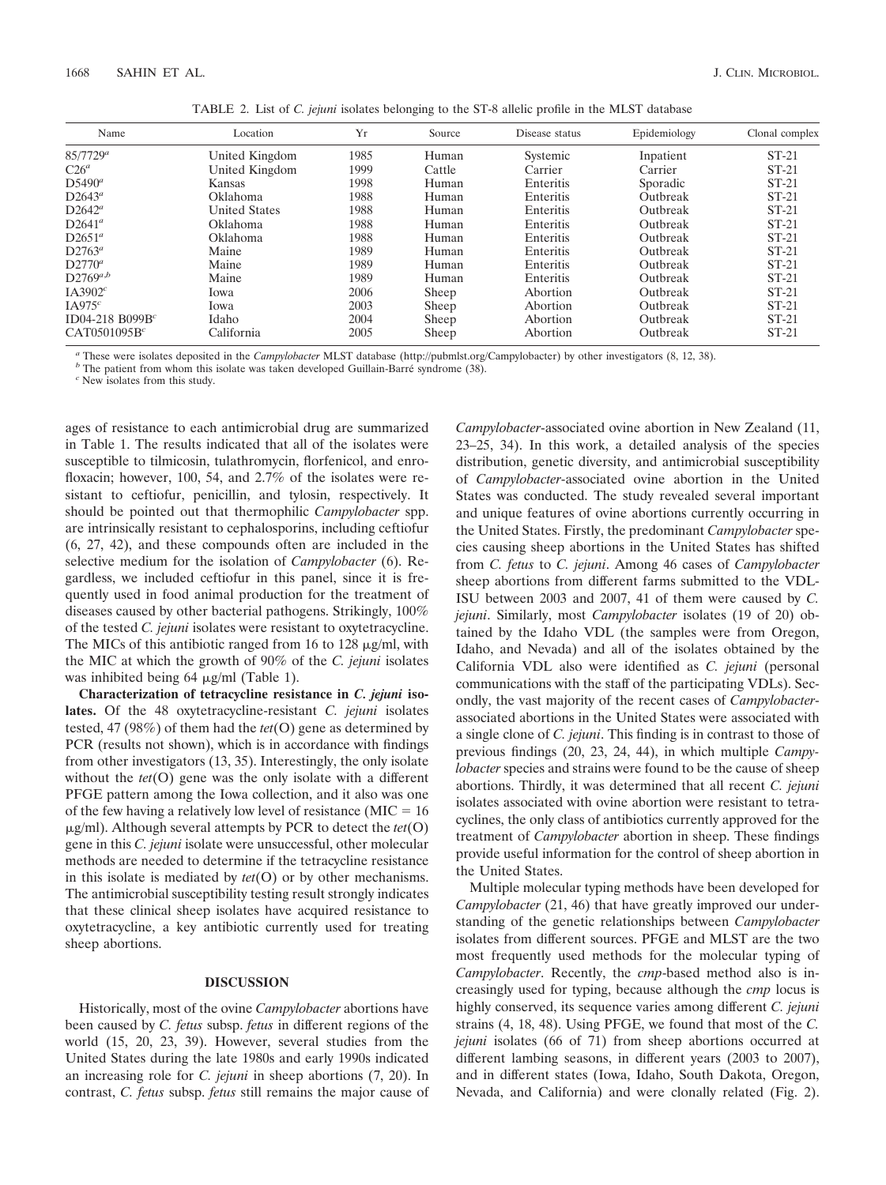|  |  | TABLE 2. List of C. jejuni isolates belonging to the ST-8 allelic profile in the MLST database |  |  |  |
|--|--|------------------------------------------------------------------------------------------------|--|--|--|
|--|--|------------------------------------------------------------------------------------------------|--|--|--|

| Name                     | Location             | Yr   | Source | Disease status | Epidemiology | Clonal complex |
|--------------------------|----------------------|------|--------|----------------|--------------|----------------|
| $85/7729^a$              | United Kingdom       | 1985 | Human  | Systemic       | Inpatient    | $ST-21$        |
| $C26^a$                  | United Kingdom       | 1999 | Cattle | Carrier        | Carrier      | $ST-21$        |
| $D5490^a$                | Kansas               | 1998 | Human  | Enteritis      | Sporadic     | $ST-21$        |
| $D2643^a$                | Oklahoma             | 1988 | Human  | Enteritis      | Outbreak     | $ST-21$        |
| $D2642^a$                | <b>United States</b> | 1988 | Human  | Enteritis      | Outbreak     | $ST-21$        |
| $D2641^a$                | Oklahoma             | 1988 | Human  | Enteritis      | Outbreak     | $ST-21$        |
| $D2651^a$                | Oklahoma             | 1988 | Human  | Enteritis      | Outbreak     | $ST-21$        |
| $D2763^a$                | Maine                | 1989 | Human  | Enteritis      | Outbreak     | $ST-21$        |
| $D2770^a$                | Maine                | 1989 | Human  | Enteritis      | Outbreak     | $ST-21$        |
| $D2769^{a,b}$            | Maine                | 1989 | Human  | Enteritis      | Outbreak     | $ST-21$        |
| IA3902 <sup>c</sup>      | lowa                 | 2006 | Sheep  | Abortion       | Outbreak     | $ST-21$        |
| $IA975^c$                | Iowa                 | 2003 | Sheep  | Abortion       | Outbreak     | $ST-21$        |
| ID04-218 B099B $c$       | Idaho                | 2004 | Sheep  | Abortion       | Outbreak     | $ST-21$        |
| CAT0501095B <sup>c</sup> | California           | 2005 | Sheep  | Abortion       | Outbreak     | $ST-21$        |

<sup>a</sup> These were isolates deposited in the *Campylobacter* MLST database (http://pubmlst.org/Campylobacter) by other investigators (8, 12, 38).<br><sup>*b*</sup> The patient from whom this isolate was taken developed Guillain-Barré syn

ages of resistance to each antimicrobial drug are summarized in Table 1. The results indicated that all of the isolates were susceptible to tilmicosin, tulathromycin, florfenicol, and enrofloxacin; however, 100, 54, and 2.7% of the isolates were resistant to ceftiofur, penicillin, and tylosin, respectively. It should be pointed out that thermophilic *Campylobacter* spp. are intrinsically resistant to cephalosporins, including ceftiofur (6, 27, 42), and these compounds often are included in the selective medium for the isolation of *Campylobacter* (6). Regardless, we included ceftiofur in this panel, since it is frequently used in food animal production for the treatment of diseases caused by other bacterial pathogens. Strikingly, 100% of the tested *C. jejuni* isolates were resistant to oxytetracycline. The MICs of this antibiotic ranged from 16 to 128  $\mu$ g/ml, with the MIC at which the growth of 90% of the *C. jejuni* isolates was inhibited being 64  $\mu$ g/ml (Table 1).

**Characterization of tetracycline resistance in** *C. jejuni* **isolates.** Of the 48 oxytetracycline-resistant *C. jejuni* isolates tested, 47 (98%) of them had the *tet*(O) gene as determined by PCR (results not shown), which is in accordance with findings from other investigators (13, 35). Interestingly, the only isolate without the *tet*(O) gene was the only isolate with a different PFGE pattern among the Iowa collection, and it also was one of the few having a relatively low level of resistance ( $MIC = 16$ ) -g/ml). Although several attempts by PCR to detect the *tet*(O) gene in this *C. jejuni* isolate were unsuccessful, other molecular methods are needed to determine if the tetracycline resistance in this isolate is mediated by *tet*(O) or by other mechanisms. The antimicrobial susceptibility testing result strongly indicates that these clinical sheep isolates have acquired resistance to oxytetracycline, a key antibiotic currently used for treating sheep abortions.

### **DISCUSSION**

Historically, most of the ovine *Campylobacter* abortions have been caused by *C. fetus* subsp. *fetus* in different regions of the world (15, 20, 23, 39). However, several studies from the United States during the late 1980s and early 1990s indicated an increasing role for *C. jejuni* in sheep abortions (7, 20). In contrast, *C. fetus* subsp. *fetus* still remains the major cause of *Campylobacter*-associated ovine abortion in New Zealand (11, 23–25, 34). In this work, a detailed analysis of the species distribution, genetic diversity, and antimicrobial susceptibility of *Campylobacter*-associated ovine abortion in the United States was conducted. The study revealed several important and unique features of ovine abortions currently occurring in the United States. Firstly, the predominant *Campylobacter* species causing sheep abortions in the United States has shifted from *C. fetus* to *C. jejuni*. Among 46 cases of *Campylobacter* sheep abortions from different farms submitted to the VDL-ISU between 2003 and 2007, 41 of them were caused by *C. jejuni*. Similarly, most *Campylobacter* isolates (19 of 20) obtained by the Idaho VDL (the samples were from Oregon, Idaho, and Nevada) and all of the isolates obtained by the California VDL also were identified as *C. jejuni* (personal communications with the staff of the participating VDLs). Secondly, the vast majority of the recent cases of *Campylobacter*associated abortions in the United States were associated with a single clone of *C. jejuni*. This finding is in contrast to those of previous findings (20, 23, 24, 44), in which multiple *Campylobacter* species and strains were found to be the cause of sheep abortions. Thirdly, it was determined that all recent *C. jejuni* isolates associated with ovine abortion were resistant to tetracyclines, the only class of antibiotics currently approved for the treatment of *Campylobacter* abortion in sheep. These findings provide useful information for the control of sheep abortion in the United States.

Multiple molecular typing methods have been developed for *Campylobacter* (21, 46) that have greatly improved our understanding of the genetic relationships between *Campylobacter* isolates from different sources. PFGE and MLST are the two most frequently used methods for the molecular typing of *Campylobacter*. Recently, the *cmp*-based method also is increasingly used for typing, because although the *cmp* locus is highly conserved, its sequence varies among different *C. jejuni* strains (4, 18, 48). Using PFGE, we found that most of the *C. jejuni* isolates (66 of 71) from sheep abortions occurred at different lambing seasons, in different years (2003 to 2007), and in different states (Iowa, Idaho, South Dakota, Oregon, Nevada, and California) and were clonally related (Fig. 2).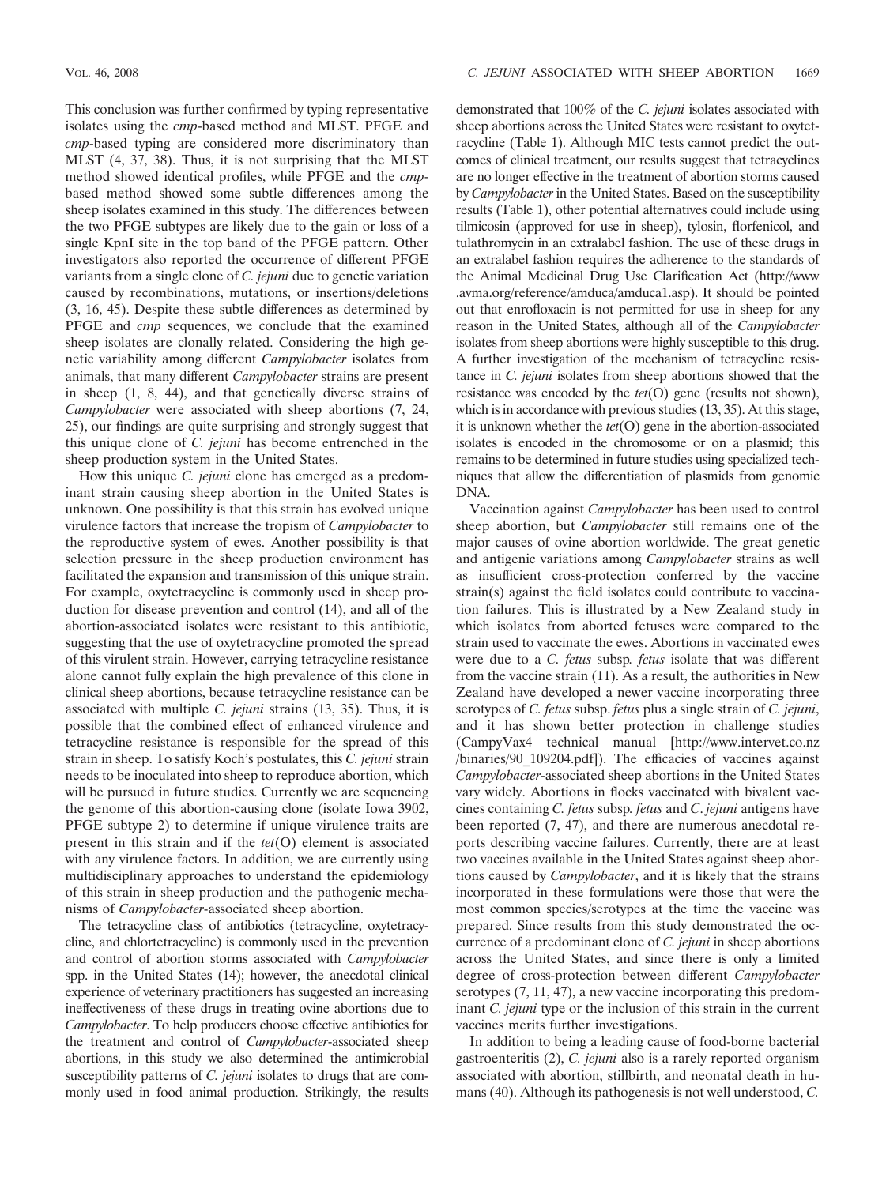This conclusion was further confirmed by typing representative isolates using the *cmp*-based method and MLST. PFGE and *cmp*-based typing are considered more discriminatory than MLST (4, 37, 38). Thus, it is not surprising that the MLST method showed identical profiles, while PFGE and the *cmp*based method showed some subtle differences among the sheep isolates examined in this study. The differences between the two PFGE subtypes are likely due to the gain or loss of a single KpnI site in the top band of the PFGE pattern. Other investigators also reported the occurrence of different PFGE variants from a single clone of *C. jejuni* due to genetic variation caused by recombinations, mutations, or insertions/deletions (3, 16, 45). Despite these subtle differences as determined by PFGE and *cmp* sequences, we conclude that the examined sheep isolates are clonally related. Considering the high genetic variability among different *Campylobacter* isolates from animals, that many different *Campylobacter* strains are present in sheep (1, 8, 44), and that genetically diverse strains of *Campylobacter* were associated with sheep abortions (7, 24, 25), our findings are quite surprising and strongly suggest that this unique clone of *C. jejuni* has become entrenched in the sheep production system in the United States.

How this unique *C. jejuni* clone has emerged as a predominant strain causing sheep abortion in the United States is unknown. One possibility is that this strain has evolved unique virulence factors that increase the tropism of *Campylobacter* to the reproductive system of ewes. Another possibility is that selection pressure in the sheep production environment has facilitated the expansion and transmission of this unique strain. For example, oxytetracycline is commonly used in sheep production for disease prevention and control (14), and all of the abortion-associated isolates were resistant to this antibiotic, suggesting that the use of oxytetracycline promoted the spread of this virulent strain. However, carrying tetracycline resistance alone cannot fully explain the high prevalence of this clone in clinical sheep abortions, because tetracycline resistance can be associated with multiple *C. jejuni* strains (13, 35). Thus, it is possible that the combined effect of enhanced virulence and tetracycline resistance is responsible for the spread of this strain in sheep. To satisfy Koch's postulates, this *C. jejuni* strain needs to be inoculated into sheep to reproduce abortion, which will be pursued in future studies. Currently we are sequencing the genome of this abortion-causing clone (isolate Iowa 3902, PFGE subtype 2) to determine if unique virulence traits are present in this strain and if the *tet*(O) element is associated with any virulence factors. In addition, we are currently using multidisciplinary approaches to understand the epidemiology of this strain in sheep production and the pathogenic mechanisms of *Campylobacter*-associated sheep abortion.

The tetracycline class of antibiotics (tetracycline, oxytetracycline, and chlortetracycline) is commonly used in the prevention and control of abortion storms associated with *Campylobacter* spp. in the United States (14); however, the anecdotal clinical experience of veterinary practitioners has suggested an increasing ineffectiveness of these drugs in treating ovine abortions due to *Campylobacter*. To help producers choose effective antibiotics for the treatment and control of *Campylobacter*-associated sheep abortions, in this study we also determined the antimicrobial susceptibility patterns of *C. jejuni* isolates to drugs that are commonly used in food animal production. Strikingly, the results

demonstrated that 100% of the *C. jejuni* isolates associated with sheep abortions across the United States were resistant to oxytetracycline (Table 1). Although MIC tests cannot predict the outcomes of clinical treatment, our results suggest that tetracyclines are no longer effective in the treatment of abortion storms caused by *Campylobacter* in the United States. Based on the susceptibility results (Table 1), other potential alternatives could include using tilmicosin (approved for use in sheep), tylosin, florfenicol, and tulathromycin in an extralabel fashion. The use of these drugs in an extralabel fashion requires the adherence to the standards of the Animal Medicinal Drug Use Clarification Act (http://www .avma.org/reference/amduca/amduca1.asp). It should be pointed out that enrofloxacin is not permitted for use in sheep for any reason in the United States, although all of the *Campylobacter* isolates from sheep abortions were highly susceptible to this drug. A further investigation of the mechanism of tetracycline resistance in *C. jejuni* isolates from sheep abortions showed that the resistance was encoded by the *tet*(O) gene (results not shown), which is in accordance with previous studies (13, 35). At this stage, it is unknown whether the *tet*(O) gene in the abortion-associated isolates is encoded in the chromosome or on a plasmid; this remains to be determined in future studies using specialized techniques that allow the differentiation of plasmids from genomic DNA.

Vaccination against *Campylobacter* has been used to control sheep abortion, but *Campylobacter* still remains one of the major causes of ovine abortion worldwide. The great genetic and antigenic variations among *Campylobacter* strains as well as insufficient cross-protection conferred by the vaccine strain(s) against the field isolates could contribute to vaccination failures. This is illustrated by a New Zealand study in which isolates from aborted fetuses were compared to the strain used to vaccinate the ewes. Abortions in vaccinated ewes were due to a *C. fetus* subsp*. fetus* isolate that was different from the vaccine strain (11). As a result, the authorities in New Zealand have developed a newer vaccine incorporating three serotypes of *C. fetus* subsp. *fetus* plus a single strain of *C. jejuni*, and it has shown better protection in challenge studies (CampyVax4 technical manual [http://www.intervet.co.nz /binaries/90\_109204.pdf]). The efficacies of vaccines against *Campylobacter*-associated sheep abortions in the United States vary widely. Abortions in flocks vaccinated with bivalent vaccines containing *C. fetus* subsp*. fetus* and *C*. *jejuni* antigens have been reported (7, 47), and there are numerous anecdotal reports describing vaccine failures. Currently, there are at least two vaccines available in the United States against sheep abortions caused by *Campylobacter*, and it is likely that the strains incorporated in these formulations were those that were the most common species/serotypes at the time the vaccine was prepared. Since results from this study demonstrated the occurrence of a predominant clone of *C. jejuni* in sheep abortions across the United States, and since there is only a limited degree of cross-protection between different *Campylobacter* serotypes (7, 11, 47), a new vaccine incorporating this predominant *C. jejuni* type or the inclusion of this strain in the current vaccines merits further investigations.

In addition to being a leading cause of food-borne bacterial gastroenteritis (2), *C. jejuni* also is a rarely reported organism associated with abortion, stillbirth, and neonatal death in humans (40). Although its pathogenesis is not well understood, *C.*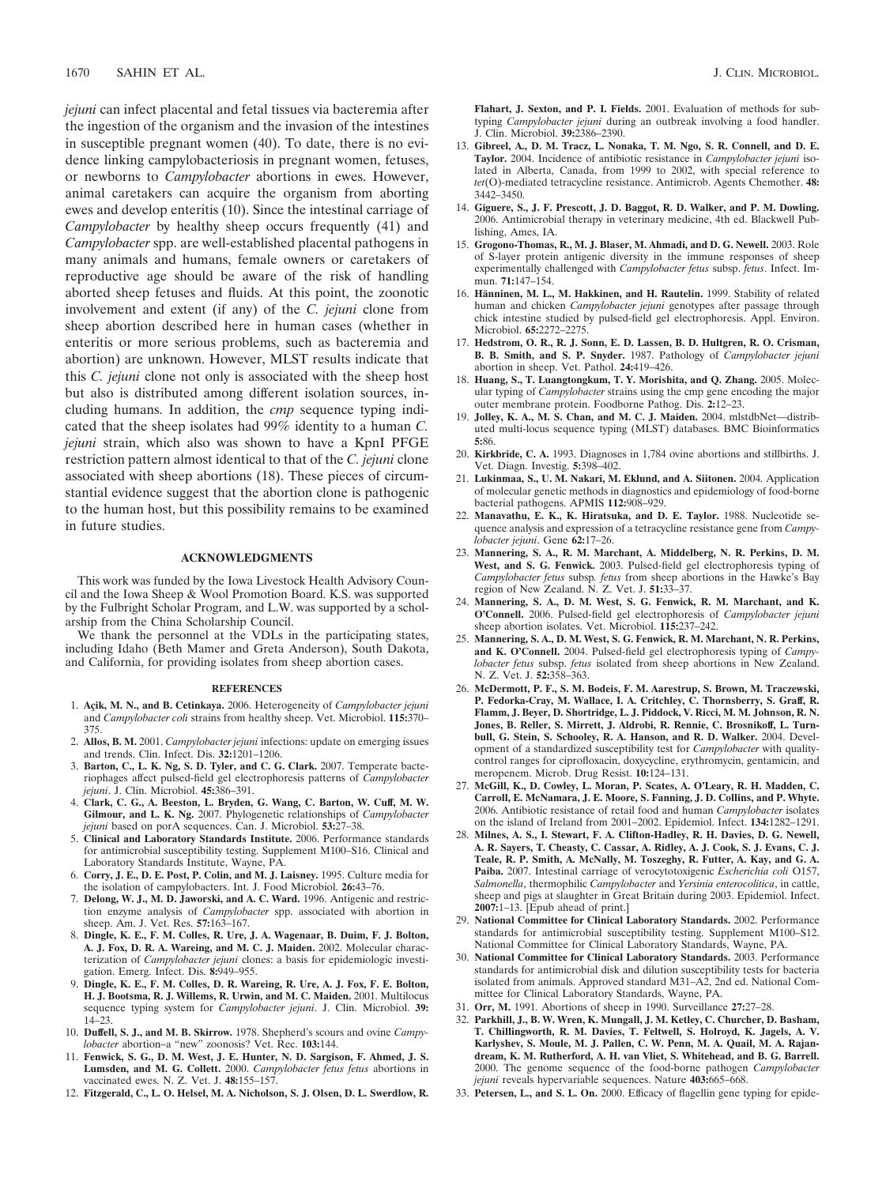*jejuni* can infect placental and fetal tissues via bacteremia after the ingestion of the organism and the invasion of the intestines in susceptible pregnant women (40). To date, there is no evidence linking campylobacteriosis in pregnant women, fetuses, or newborns to *Campylobacter* abortions in ewes. However, animal caretakers can acquire the organism from aborting ewes and develop enteritis (10). Since the intestinal carriage of *Campylobacter* by healthy sheep occurs frequently (41) and *Campylobacter* spp. are well-established placental pathogens in many animals and humans, female owners or caretakers of reproductive age should be aware of the risk of handling aborted sheep fetuses and fluids. At this point, the zoonotic involvement and extent (if any) of the *C. jejuni* clone from sheep abortion described here in human cases (whether in enteritis or more serious problems, such as bacteremia and abortion) are unknown. However, MLST results indicate that this *C. jejuni* clone not only is associated with the sheep host but also is distributed among different isolation sources, including humans. In addition, the *cmp* sequence typing indicated that the sheep isolates had 99% identity to a human *C. jejuni* strain, which also was shown to have a KpnI PFGE restriction pattern almost identical to that of the *C. jejuni* clone associated with sheep abortions (18). These pieces of circumstantial evidence suggest that the abortion clone is pathogenic to the human host, but this possibility remains to be examined in future studies.

#### **ACKNOWLEDGMENTS**

This work was funded by the Iowa Livestock Health Advisory Council and the Iowa Sheep & Wool Promotion Board. K.S. was supported by the Fulbright Scholar Program, and L.W. was supported by a scholarship from the China Scholarship Council.

We thank the personnel at the VDLs in the participating states, including Idaho (Beth Mamer and Greta Anderson), South Dakota, and California, for providing isolates from sheep abortion cases.

#### **REFERENCES**

- 1. Açik, M. N., and B. Cetinkaya. 2006. Heterogeneity of *Campylobacter jejuni* and *Campylobacter coli* strains from healthy sheep. Vet. Microbiol. **115:**370– 375.
- 2. **Allos, B. M.** 2001. *Campylobacter jejuni* infections: update on emerging issues and trends. Clin. Infect. Dis. **32:**1201–1206.
- 3. **Barton, C., L. K. Ng, S. D. Tyler, and C. G. Clark.** 2007. Temperate bacteriophages affect pulsed-field gel electrophoresis patterns of *Campylobacter jejuni*. J. Clin. Microbiol. **45:**386–391.
- 4. **Clark, C. G., A. Beeston, L. Bryden, G. Wang, C. Barton, W. Cuff, M. W. Gilmour, and L. K. Ng.** 2007. Phylogenetic relationships of *Campylobacter jejuni* based on porA sequences. Can. J. Microbiol. **53:**27–38.
- 5. **Clinical and Laboratory Standards Institute.** 2006. Performance standards for antimicrobial susceptibility testing. Supplement M100–S16. Clinical and Laboratory Standards Institute, Wayne, PA.
- 6. **Corry, J. E., D. E. Post, P. Colin, and M. J. Laisney.** 1995. Culture media for the isolation of campylobacters. Int. J. Food Microbiol. **26:**43–76.
- 7. **Delong, W. J., M. D. Jaworski, and A. C. Ward.** 1996. Antigenic and restriction enzyme analysis of *Campylobacter* spp. associated with abortion in sheep. Am. J. Vet. Res. **57:**163–167.
- 8. **Dingle, K. E., F. M. Colles, R. Ure, J. A. Wagenaar, B. Duim, F. J. Bolton, A. J. Fox, D. R. A. Wareing, and M. C. J. Maiden.** 2002. Molecular characterization of *Campylobacter jejuni* clones: a basis for epidemiologic investigation. Emerg. Infect. Dis. **8:**949–955.
- 9. **Dingle, K. E., F. M. Colles, D. R. Wareing, R. Ure, A. J. Fox, F. E. Bolton, H. J. Bootsma, R. J. Willems, R. Urwin, and M. C. Maiden.** 2001. Multilocus sequence typing system for *Campylobacter jejuni*. J. Clin. Microbiol. **39:** 14–23.
- 10. **Duffell, S. J., and M. B. Skirrow.** 1978. Shepherd's scours and ovine *Campylobacter* abortion–a "new" zoonosis? Vet. Rec. **103:**144.
- 11. **Fenwick, S. G., D. M. West, J. E. Hunter, N. D. Sargison, F. Ahmed, J. S. Lumsden, and M. G. Collett.** 2000. *Campylobacter fetus fetus* abortions in vaccinated ewes. N. Z. Vet. J. **48:**155–157.
- 12. **Fitzgerald, C., L. O. Helsel, M. A. Nicholson, S. J. Olsen, D. L. Swerdlow, R.**

**Flahart, J. Sexton, and P. I. Fields.** 2001. Evaluation of methods for subtyping *Campylobacter jejuni* during an outbreak involving a food handler. J. Clin. Microbiol. **39:**2386–2390.

- 13. **Gibreel, A., D. M. Tracz, L. Nonaka, T. M. Ngo, S. R. Connell, and D. E. Taylor.** 2004. Incidence of antibiotic resistance in *Campylobacter jejuni* isolated in Alberta, Canada, from 1999 to 2002, with special reference to *tet*(O)-mediated tetracycline resistance. Antimicrob. Agents Chemother. **48:** 3442–3450.
- 14. **Giguere, S., J. F. Prescott, J. D. Baggot, R. D. Walker, and P. M. Dowling.** 2006. Antimicrobial therapy in veterinary medicine, 4th ed. Blackwell Publishing, Ames, IA.
- 15. **Grogono-Thomas, R., M. J. Blaser, M. Ahmadi, and D. G. Newell.** 2003. Role of S-layer protein antigenic diversity in the immune responses of sheep experimentally challenged with *Campylobacter fetus* subsp. *fetus*. Infect. Immun. **71:**147–154.
- 16. **Hänninen, M. L., M. Hakkinen, and H. Rautelin,** 1999. Stability of related human and chicken *Campylobacter jejuni* genotypes after passage through chick intestine studied by pulsed-field gel electrophoresis. Appl. Environ. Microbiol. **65:**2272–2275.
- 17. **Hedstrom, O. R., R. J. Sonn, E. D. Lassen, B. D. Hultgren, R. O. Crisman, B. B. Smith, and S. P. Snyder.** 1987. Pathology of *Campylobacter jejuni* abortion in sheep. Vet. Pathol. **24:**419–426.
- 18. **Huang, S., T. Luangtongkum, T. Y. Morishita, and Q. Zhang.** 2005. Molecular typing of *Campylobacter* strains using the cmp gene encoding the major outer membrane protein. Foodborne Pathog. Dis. **2:**12–23.
- 19. **Jolley, K. A., M. S. Chan, and M. C. J. Maiden.** 2004. mlstdbNet—distributed multi-locus sequence typing (MLST) databases. BMC Bioinformatics **5:**86.
- 20. **Kirkbride, C. A.** 1993. Diagnoses in 1,784 ovine abortions and stillbirths. J. Vet. Diagn. Investig. **5:**398–402.
- 21. **Lukinmaa, S., U. M. Nakari, M. Eklund, and A. Siitonen.** 2004. Application of molecular genetic methods in diagnostics and epidemiology of food-borne bacterial pathogens. APMIS **112:**908–929.
- 22. **Manavathu, E. K., K. Hiratsuka, and D. E. Taylor.** 1988. Nucleotide sequence analysis and expression of a tetracycline resistance gene from *Campylobacter jejuni*. Gene **62:**17–26.
- 23. **Mannering, S. A., R. M. Marchant, A. Middelberg, N. R. Perkins, D. M. West, and S. G. Fenwick.** 2003. Pulsed-field gel electrophoresis typing of *Campylobacter fetus* subsp*. fetus* from sheep abortions in the Hawke's Bay region of New Zealand. N. Z. Vet. J. **51:**33–37.
- 24. **Mannering, S. A., D. M. West, S. G. Fenwick, R. M. Marchant, and K. O'Connell.** 2006. Pulsed-field gel electrophoresis of *Campylobacter jejuni* sheep abortion isolates. Vet. Microbiol. **115:**237–242.
- 25. **Mannering, S. A., D. M. West, S. G. Fenwick, R. M. Marchant, N. R. Perkins, and K. O'Connell.** 2004. Pulsed-field gel electrophoresis typing of *Campylobacter fetus* subsp. *fetus* isolated from sheep abortions in New Zealand. N. Z. Vet. J. **52:**358–363.
- 26. **McDermott, P. F., S. M. Bodeis, F. M. Aarestrup, S. Brown, M. Traczewski, P. Fedorka-Cray, M. Wallace, I. A. Critchley, C. Thornsberry, S. Graff, R. Flamm, J. Beyer, D. Shortridge, L. J. Piddock, V. Ricci, M. M. Johnson, R. N. Jones, B. Reller, S. Mirrett, J. Aldrobi, R. Rennie, C. Brosnikoff, L. Turnbull, G. Stein, S. Schooley, R. A. Hanson, and R. D. Walker.** 2004. Development of a standardized susceptibility test for *Campylobacter* with qualitycontrol ranges for ciprofloxacin, doxycycline, erythromycin, gentamicin, and meropenem. Microb. Drug Resist. **10:**124–131.
- 27. **McGill, K., D. Cowley, L. Moran, P. Scates, A. O'Leary, R. H. Madden, C. Carroll, E. McNamara, J. E. Moore, S. Fanning, J. D. Collins, and P. Whyte.** 2006. Antibiotic resistance of retail food and human *Campylobacter* isolates on the island of Ireland from 2001–2002. Epidemiol. Infect. **134:**1282–1291.
- 28. **Milnes, A. S., I. Stewart, F. A. Clifton-Hadley, R. H. Davies, D. G. Newell, A. R. Sayers, T. Cheasty, C. Cassar, A. Ridley, A. J. Cook, S. J. Evans, C. J. Teale, R. P. Smith, A. McNally, M. Toszeghy, R. Futter, A. Kay, and G. A. Paiba.** 2007. Intestinal carriage of verocytotoxigenic *Escherichia coli* O157, *Salmonella*, thermophilic *Campylobacter* and *Yersinia enterocolitica*, in cattle, sheep and pigs at slaughter in Great Britain during 2003. Epidemiol. Infect. **2007:**1–13. [Epub ahead of print.]
- 29. **National Committee for Clinical Laboratory Standards.** 2002. Performance standards for antimicrobial susceptibility testing. Supplement M100–S12. National Committee for Clinical Laboratory Standards, Wayne, PA.
- 30. **National Committee for Clinical Laboratory Standards.** 2003. Performance standards for antimicrobial disk and dilution susceptibility tests for bacteria isolated from animals. Approved standard M31–A2, 2nd ed. National Committee for Clinical Laboratory Standards, Wayne, PA.
- 31. **Orr, M.** 1991. Abortions of sheep in 1990. Surveillance **27:**27–28.
- 32. **Parkhill, J., B. W. Wren, K. Mungall, J. M. Ketley, C. Churcher, D. Basham, T. Chillingworth, R. M. Davies, T. Feltwell, S. Holroyd, K. Jagels, A. V. Karlyshev, S. Moule, M. J. Pallen, C. W. Penn, M. A. Quail, M. A. Rajandream, K. M. Rutherford, A. H. van Vliet, S. Whitehead, and B. G. Barrell.** 2000. The genome sequence of the food-borne pathogen *Campylobacter jejuni* reveals hypervariable sequences. Nature **403:**665–668.
- 33. **Petersen, L., and S. L. On.** 2000. Efficacy of flagellin gene typing for epide-